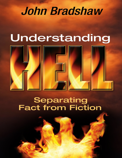## **John Bradshaw**

## Understanding



# **Separating<br>Fact from Fiction**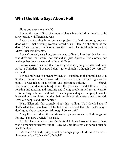#### **What the Bible Says About Hell**

Have you ever met a witch?

I knew she was different the moment I saw her. But I didn't realize right away just how different she was.

I was participating in an outreach project that had me going door-todoor when I met a young woman named Mary Ellen. As she stood at the door of her apartment in a small Southern town, I noticed right away that Mary Ellen was different.

I wasn't exactly sure how, but she was different. I noticed that her hair was different—not weird, not outlandish, just *different*. Her clothes, her makeup, her jewelry, were all a little...different.

As we spoke, I learned that this very pleasant young woman had been raised a Christian. "But now I don't go to church. Although I do, sort of," she said.

I wondered what she meant by that, so—standing in the humid heat of a Southern summer afternoon—I asked her to explain. She got right to the point. "I was raised in a hellfire and brimstone-spitting church [she named the denomination], where the preacher would talk about God roasting and toasting and torturing and frying people in hell for all eternity —for as long as time would last. He said again and again that people would burn and burn and burn, and that their burning would never come to an end. Even old people and little babies."

Mary Ellen still felt strongly about this, adding, "So I decided that if that's what God was like, I'd be better off without Him. So that's why I don't go to church anymore. Although I do, sort of."

Mary Ellen could see the questions in my eyes, so she spelled things out for me. "I'm now a witch," she said.

I hadn't had anyone tell me *that* before! I glanced around to see if there was a broomstick nearby, but all I saw was her little red car parked outside her front door.

"A witch?" I said, trying to act as though people told me that sort of thing every day. "What kind of witch?"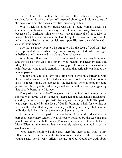She explained to me that she met with other witches at organized services (which is why she "sort of" attended church), and told me some of the details of what she did as a real-life, practicing witch.

What struck me as utterly tragic was that a young woman raised in a Christian church was driven away from church—and away from God because of a Christian minister's very typical portrayal of God. Like so many other Christian ministers, the God he spoke of was quite prepared to inflict indescribably painful punishment upon His very own children *forever,* without mercy!

I've met so many people who struggle with the idea of God that they were presented with when they were young—a God who consigns unbelievers and the wicked to a place of eternal torment.

What Mary Ellen correctly realized was that forever is a *very* long time, and the idea of the God of Heaven—who pastors and teachers had told Mary Ellen was a God of love—causing people to endure indescribable pain forever, without end, eternally, is an idea that seriously challenges the human psyche.

You don't have to look very far to find people who have struggled with the idea of a loving Creator God incinerating people for as long as time lasts. In recent times, the subject hit the headlines when a popular young pastor from Michigan turned widely-held views on their head by suggesting that nobody burns in hell forever.

This pastor said in a *TIME* magazine interview that his thinking on the subject was jarred when someone suggested that Mohandas (Mahatma) Gandhi, the great Indian pacifist/reformer, was burning in hell. The pastor was deeply troubled by the idea of Gandhi burning in hell for eternity, as well as the idea that anyone can say with any certainty that another individual is in hell. Or that anyone would even *go* to hell.

I can relate to the pastor's conundrum. As a child educated at a parochial elementary school, I was seriously bothered by the teaching that people would burn in hell forever. This was the same idea that so bothered Mary Ellen, to the extent that she entirely rejected the notion of the existence of God.

"God cannot possibly be like that, therefore there is no God," Mary Ellen reasoned. But perhaps the truth is found neither in the view of the young pastor nor in Mary Ellen's picture of God. Could the truth about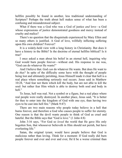hellfire possibly be found in another, less traditional understanding of Scripture? Perhaps the truth about hell makes sense of what has been a confusing and misunderstood subject.

What if there was a God who was a God of justice *and* love—a God whose expressions of justice demonstrated goodness and mercy instead of cruelty and malice?

There's no question that the disquietude experienced by Mary Ellen and so many others is justified. A God of love, willfully inflicting suffering upon His own children? Forever?

It is a widely-held view with a long history in Christianity. But does it have a history in the Bible? Is the doctrine of eternal hellfire biblical? Is it true?

I once asked a man about his belief in an eternal hell, inquiring why God would burn people forever—without end. His response to me was, "God can do whatever He wants!"

And I believe that. God *can* do whatever He wants. But does He want to do *that?* In spite of the difficulty some have with the thought of people being lost and ultimately perishing, Jesus Himself made it clear that hell is a real place where something seriously real occurs. Jesus said in Matthew 10:28, "And fear not them which kill the body, but are not able to kill the soul: but rather fear Him which is able to destroy both soul and body in hell."

To Jesus, hell was real. Not a symbol or a figure, but a real place where real people were really destroyed. In another place, Jesus said, "It is better for thee to enter into the kingdom of God with one eye, than having two eyes to be cast into hell fire." (Mark 9:47)

There are two main reasons why people today believe in a hell that burns forever, and therefore a God who causes people to suffer for eternity. One reason is that the devil wants people to think of God as cruel and hateful. But the Bible says that "God is love." (1 John 4:8)

John 3:16 says, "For God so *loved* the world that He gave His only begotten Son, that whosoever believeth in Him should not perish, but have everlasting life."

Satan, the original tyrant, would have people believe that God is malicious rather than loving. Think for a moment: If God really did burn people forever and ever and ever and ever, He'd be a worse criminal than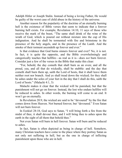Adolph Hitler or Joseph Stalin. Instead of being a loving Father, He would be guilty of the worst case of child abuse in the history of the universe.

Another reason for the popularity of the doctrine of an eternally burning hell is the existence of Bible verses that seem to indicate that a forever burning hell exists. For example, Revelation 14:10, 11 says of those who receive the mark of the beast, "The same shall drink of the wine of the wrath of God, which is poured out without mixture into the cup of His indignation. And he shall be tormented with fire and brimstone in the presence of the holy angels, and in the presence of the Lamb. And the smoke of their torment ascendeth up forever and ever."

Is that evidence that God burns sinners forever and ever? No, it is not. In fact, it is quite the opposite, and the Bible overwhelmingly and categorically teaches that hellfire—as real as it is—does *not* burn forever. Consider just a few of the verses in the Bible that make this clear:

"For, behold, the day cometh that shall burn as an oven; and all the proud, yea, and all that do wickedly, shall be stubble: and the day that cometh shall burn them up, saith the Lord of hosts, that it shall leave them neither root nor branch. And ye shall tread down the wicked; for they shall be ashes under the soles of your feet in the day that I shall do this, saith the Lord of hosts." (Malachi 4:1, 3)

Malachi makes it clear that the wicked will be punished, but that the punishment will not go on forever. Instead, the lost who endure hellfire will be reduced to ashes. In other words, the burning will come to an end. It won't go on eternally.

In Revelation 20:9, the wicked are said to be "devoured" by the fire that comes down from Heaven. Not burned forever, but "devoured." Even Satan will not burn forever.

In Ezekiel 28:18, God says to Satan, "I will bring forth a fire from the midst of thee, it shall devour thee, and I will bring thee to ashes upon the earth in the sight of all them that behold thee."

Not even Satan will burn in hell forever. Satan will burn and be reduced to ashes.

In fact, Satan is often depicted as being in charge of hell. Somehow, many Christian teachers have come to the place where they portray Satan as not only not suffering in hell, but as the one in charge of inflicting punishment upon those who are in hell.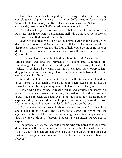Incredibly, Satan has been portrayed as being God's agent, inflicting conscious eternal punishment upon many of God's creatures for as long as time lasts. Let me ask you: Does it even make sense for Satan to be on God's side, carrying out God's punishment on God's behalf?

The Bible actually tells us directly what hell will be like. We're told in 2 Peter 2:6 that if we want to understand hell, all we have to do is look at what God did at Sodom and Gomorrah.

Owing to the great wickedness of the people living in those cities, God decreed that Sodom and Gomorrah—and all their inhabitants—would be destroyed. And Peter wrote that the fires of hell would do the same work as did the fire and brimstone that rained down from Heaven upon Sodom and Gomorrah.

Sodom and Gomorrah definitely didn't burn forever! You can't go to the Middle East and find the remnants of Sodom and Gomorrah still smoldering. Those cities were destroyed—as Peter said, turned into "ashes." It couldn't be clearer. And God's character isn't lowered, isn't dragged into the mud, as though God is brutal and vindictive and loves to cause pain and suffering.

What the Bible teaches is that the wicked will ultimately be blotted out of existence. And as harsh as even that might seem, keep in mind that the wicked wouldn't be happy being saved into God's eternal Kingdom.

People who have learned to rebel against God wouldn't be happy in a place of obedience to—and in harmony with—God. They'd be miserable there. Having rejected God and everything He stands for, the destruction experienced by the wicked is actually poured out in *mercy* toward the lost. It's not only justice but mercy that leads God to destroy the lost.

The very few verses that talk about "forever and ever" aren't talking about hell burning forever. The fact is, these verses are saying that the *effects* of hellfire will last forever. Something far too few people know is that when the Bible says "forever," it doesn't always mean *forever*. Let me explain.

The prophet Jonah, the renegade prophet who attempted to escape from doing God's will, found himself alive and in the belly of a whale, or large fish. He wrote in Jonah 2:6 that when he was enclosed within the digestive system of that great sea creature, "the earth and her bars was about me forever."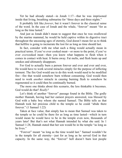Yet he had already stated—in Jonah 1:17—that he was imprisoned inside that living, breathing submarine for "three days and three nights."

It probably felt like *forever*, but it wasn't forever in the classical sense of the word. In the case of Jonah and the whale, "forever" meant "for as long as the time lasted."

And just as Jonah didn't mean to suggest that once he was swallowed by the marine mammal, he would be held captive within its digestive tract throughout the unceasing ages of eternity, God doesn't mean for us to think that hellfire is going to incinerate the lost for as long as time should last.

In fact, consider with me what such a thing would actually mean in practical terms. If you've ever cooked meat—or more to the point, if you've ever *over*cooked meat—then you know what happens to flesh when it comes in contact with heat. It burns away. Fat melts, and flesh heats up and smokes and ultimately disappears.

For God to actually burn a person forever and ever and ever, He would have to work several miracles simply for the purpose of inflicting torment. The fire God would use to do this work would need to be modified fire—fire that would somehow burn without consuming. God would then need to work *another* miracle in causing burning flesh to somehow be regenerated so it could then be continually burned.

The more one thinks about this scenario, the less thinkable it becomes. God would do that? *Really?*

Let's think of another "forever" passage found in the Bible. The godly mother Hannah, having had her earnest prayers answered, was blessed by God with a baby boy whom she named Samuel. The Bible tells us that Hannah took her precious child to the temple so he could "abide there forever." (1 Samuel 1:22)

Taken at face value, that simply has to mean that Samuel was taken to the temple so he could be there for as long as time lasted—which in turn would mean he would have to be in the temple even now, thousands of years later! But that's not what Hannah intended by what she said. In 1 Samuel 1:28, Hannah stated that her son would be in the temple "as long as he lives."

"Forever" meant "as long as the time would last." Samuel wouldn't be in the temple for all eternity—just for as long as he served God in that capacity. In the same way, the "forever" hell doesn't burn lost people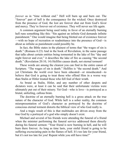*forever* as in "time without end." Hell will burn up and burn out. The "forever" part of hell is the consequence for the wicked. Once destroyed from the presence of God, the lost are forever shut out from God's favor and mercy. They're forever out of existence. They will never see life again.

A common argument being used today in favor of an eternally burning hell runs something like this: "Sin against an infinite God demands infinite punishment." One would imagine that being blotted out of existence forever —with no hope of recreation or readmittance into the presence of God—is about as infinite as punishment could possibly be.

In fact, the Bible states in the plainest of terms that "the wages of sin is death." (Romans 6:23) And in the book of Revelation, in the same passage that talks about certain entities being tormented in the lake of fire "day and night forever and ever," it describes the lake of fire as causing "the second death." (Revelation 20:10, 14) Hellfire causes death, not eternal torment!

These words are among the clearest you can find in the entire canon of Scripture. "The wages of sin is death." Hellfire is "the second death." And yet Christians the world over have been educated—or miseducated—to believe that God is going to treat those who offend Him in a worse way than Stalin or Hitler treated those who fell foul of their wrath.

As brutal as Stalin, Hitler, and any number of other despots and dictators were, at least it can be said that their unfortunate victims were ultimately put out of their misery. Yet God—who is love—is portrayed as a brutal, unfeeling, callous brute.

The doctrine of an eternally burning hell is a gross attack on the true nature of the character of God. While hell is a sober reality, the common misrepresentation of God's character as portrayed by the doctrine of conscious eternal torment distorts the biblical view of who God really is.

And a tragic result of this is that multitudes are driven away from the true God by a portrayal of a god who simply doesn't exist.

Michael and several of his friends were attending the funeral of a friend when the minister performing the funeral service addressed them directly during his funeral sermon: "Your friend is now burning in hell, and he will burn there forever. As long as time lasts, your sinful friend is going to be suffering excruciating pain in the flames of hell. It's too late for your friend, but it's not too late for you! Repent while you still have time!"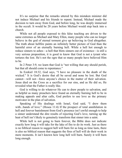It's no surprise that the remarks uttered by this mistaken minister did not induce Michael and his friends to repent. Instead, Michael made the decision to turn away from God, and before long, he was deeply immersed in the occult. It would be 20 years before Michael would step back into a church.

While not all people exposed to this false teaching are driven to the same extremes as Michael and Mary Ellen, many people who can no longer believe in the god of eternal torment give up believing in God altogether. The truth about hellfire paints an infinitely better picture of God than the harmful error of an eternally burning hell. While a hell hot enough to reduce sinners to ashes—a hell that blots sinners out of existence—is still a very serious proposition, it is good to know that God is not a tyrant who tortures the lost. He's not the ogre that so many people have believed Him to be.

In 2 Peter 3:9, we learn that God is "not willing that any should perish, but that all should come to repentance."

In Ezekiel 18:32, God says, "I have no pleasure in the death of the wicked." It is God's desire that all be saved and none be lost. But God cannot—will not—force anyone's choice in the matter of their salvation. Jesus died on the Cross as a sacrifice for our sins, and as He did so, He revealed what the Father is really like.

God is willing to do whatever He can to draw people to salvation, and as helpful as many preachers have found an eternally burning hell to be in making appeals and altar calls, God prefers to use love as the primary motivator in the plan of salvation.

Speaking of His dealings with Israel, God said, "I drew them with...bands of love." (Hosea 11:4) If the prospect of total annihilation in hell and forever banishment from God's presence isn't awful enough to help a sinner understand the dire results of rejecting God's love, turning up the heat of hell isn't likely to genuinely transform that sinner into a saint.

While hell is not going to burn forever, the Bible does not indicate exactly how long it will take for the lake of fire to do its work. Just as there is no biblical reason to suggest hell will burn for as long as time lasts, there is also no biblical reason that suggests the fires of hell will do their work in mere moments. It isn't known how long hell will burn. Surely it will burn long enough.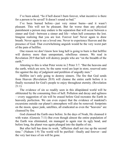I've been asked, "So if hell doesn't burn forever, what incentive is there for a person to be saved? It doesn't sound so bad."

I've been burned before—just very minor burns—and it wasn't pleasant. This will not be pleasant. But far worse than any physical punishment a person may endure is the separation that will occur between a sinner and God—between a sinner and life—when hell consumes the lost. Imagine realizing that you are lost. Forever lost! Never again to draw breath. Never again to see a loved one. Never to experience Heaven and the presence of God. That overwhelming anguish would be the very worst part of the pain of hellfire.

One reason we don't know how long hell is going to burn is that hellfire will destroy more than unrepentant, rebellious sinners. We read in Revelation 20:9 that hell will destroy people who are "on the breadth of the earth."

Attesting to this is what Peter wrote in 2 Peter 3:7. "But the heavens and the earth, which are now, by the same word are kept in store, reserved unto fire against the day of judgment and perdition of ungodly men."

Hellfire isn't only going to destroy sinners. The fire that God sends from Heaven (Revelation 20:9) will cleanse the entire earth before it is finally recreated for God's people to enjoy throughout eternity. (Revelation 21:1)

The evidence of sin so readily seen in this dilapidated world will be obliterated by the consuming fires of hell. Pollution and decay and ugliness —every suggestion of sin will be erased before God recreates the Earth in heavenly perfection. We can even expect that the evidence of mankind's excursions outside our planet's atmosphere will also be removed: footprints on the moon, space junk, satellites, all eradicated as even the "heavens" are cleansed by fire.

God cleansed the Earth once before. In the days of Noah, He cleansed it with water. (Genesis 7:11) But even though almost the entire population of the Earth was eliminated, sin managed to again rear its ugly head, and before long, the planet was again plunged into the depths of sin.

But after hell has done its work, "affliction shall not rise up the second time." (Nahum 1:9) The world will be purified—finally and forever—and the very last trace of sin will be gone.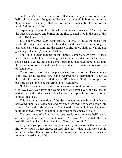And if you've ever been concerned that someone you know could be in hell right now, you'll be glad to discover that *nobody* is burning in hell at this moment. Jesus taught that hellfire doesn't occur until "the end of the world." (Matthew 13:39)

Explaining the parable of the wheat and tares, Jesus said, "As therefore the tares are gathered and burned in the fire, so shall it be in the end of this world." (Matthew 13:40)

Just a few verses later, Jesus stated, "So shall it be at the end of the world: the angels shall come forth, and sever the wicked from among the just, and shall cast them into the furnace of fire: there shall be wailing and gnashing of teeth." (Matthew 13:49, 50)

The Bible is unambiguous on this subject. John 5:28, 29 says, "Marvel not at this: for the hour is coming, in the which all that are in the graves shall hear his voice, and shall come forth; they that have done good, unto the resurrection of life; and they that have done evil, unto the resurrection of damnation."

The resurrection of life takes place when Jesus returns. (1 Thessalonians 4:16) The second resurrection, or the "resurrection of damnation," occurs at the end of Revelation's 1,000 years. (Revelation 20:5) It's simply not possible for anyone to be suffering in hell right now.

God is not a maniac. God is not a viciously cruel despot. God is love. God loves you. God loves the worst sinner who ever lived, and He has no part in the awful idea that teaches He will burn people in torment for as long as time lasts.

This idea is an invention of the devil, made popular by a church that borrowed unbiblical teachings, and by preachers trying to scare people into Heaven. Sadly, the false doctrine of an eternally burning hell has frightened multitudes away from God and into the arms of the enemy of souls.

The best news of all is that no one needs to experience hellfire and eternal separation from God. In 1 John 5:12, it says, "He that hath the Son hath life, and he that hath not the Son of God hath not life."

If by faith you possess Jesus in your heart, you can know that you have life. Why would we not choose an offer like that? What in this world could be so attractive that it would lead us to release our hold on Jesus and relinquish everlasting life?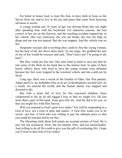Far better to honor God, to trust His Son, to have faith in Jesus as the Savior from sin, and to live in the joy and peace that come from knowing salvation is secure.

A young woman just 18 years of age was driving home late one night after spending time with her boyfriend. For unknown reasons, she lost control of her car on the freeway, and the resulting accident trapped her in her vehicle. She was conscious, she was not drunk, she was not high on drugs and she was not injured. But she was trapped. And the vehicle was on fire.

Desperate rescuers did everything they could to free the young woman, but the heat of the fire drove them back. At one stage, she grabbed the arm of one of her would-be rescuers and said, "Don't leave me! I'm going to die here!"

But they could not free her. One man tried so hard to save her that he lost some of the flesh on his hand due to the intense heat. In spite of their heroic efforts, those who tried to save the young woman were defeated because her feet were trapped in the wrecked vehicle and she could not be freed.

Long ago, there was a wreck in the Garden of Eden. Our first parents, Adam and Eve, ate forbidden fruit in an act of disobedience toward God. As a result, sin entered the world, and the human family was trapped and doomed to die.

But with a heart full of love for His wayward children, Jesus volunteered to die on an old rugged Cross so that we might live. He lost more than a part of His hand. Jesus gave His *life*. And He did it for you, so that you might live with Him forever.

Will you respond to God's great love today? You will be responding to a God of love, not a God of spite and malice. A God who wants you to be saved—not lost. A God who was willing to pay the ultimate price so that you could be rescued and be set free.

The liberating truth about hell paints an accurate picture of God. He is just, but not tyrannical. Firm, but not hateful. Pure, and not unreasonable. And willing to do all He could to give you the gift of everlasting life. I hope you'll trust in that God of love today!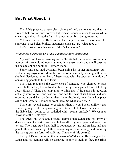#### **But What About...?**

The Bible presents a very clear picture of hell, demonstrating that the fires of hell do not burn forever but instead reduce sinners to ashes while cleansing and purifying the Earth in preparation for it being recreated.

Yet as clear as the Bible is on the subject, it isn't uncommon for someone to read clear biblical statements and say, "But what about...?"

Let's consider together some of the "what abouts."

#### *What about the people who have claimed to have visited hell?*

My wife and I were traveling across the United States when we found a number of pink-colored tracts jammed into every crack and small opening inside a telephone booth in Northern Idaho.

Some kind soul had evidently been doing his or her missionary duty. Not wanting anyone to endure the horrors of an eternally burning hell, he or she had distributed a number of these tracts with the apparent intention of convincing people to turn to Jesus.

The tracts recounted the experience of someone who claimed to have visited hell. In fact, this individual had been given a guided tour of hell by Jesus Himself! There's a temptation to think that if the person in question actually went to hell, and saw hell, and felt the heat of its flames, and was escorted around hell by Jesus, then there absolutely must be a hot place called hell. After all, someone went there. So what about that?

There are several things to consider. First, it would seem unlikely that Jesus is going to take people on a guided tour of hell. However, a student of the Bible isn't going to be satisfied with "seems unlikely." We want to know what the Bible says.

The tracts my wife and I found claimed that Satan and his army of demons cause the lost to suffer in hell—inflicting great pain and agonizing torture. The tracts stated that hell is populated by rats and snakes, and that people there are wearing clothes, screaming in pain, talking, and enduring the most grotesque forms of suffering. Can any of this be true?

Firstly, let's keep in mind that *nowhere at all* does the Bible suggest that Satan and his demons will be torturing people in hell. In fact, the Bible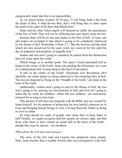categorically states that this is an impossibility.

As we noted earlier, Ezekiel 28:18 says, "I will bring forth a fire from the midst of thee, it shall devour thee, and I will bring thee to ashes upon the earth in the sight of all them that behold thee."

Satan and the other fallen angels will themselves suffer the punishment of the fires of hell. They will not be inflicting pain and misery upon the lost.

Second, there will be no rats and snakes in the fires of hell. At least, rats and snakes are included in that which is going to be completely destroyed by the flames of hell. Remember 2 Peter 3:7: "But the heavens and the earth which are now preserved by the same word, are reserved for fire until the day of judgment and perdition of ungodly men."

Snakes and rats aren't going to somehow be spared from the destruction that will come upon the world.

Which brings us to another point. The tracts I found presented hell as being in the center of the Earth. Jesus was guiding the missionary on a tour of a subterranean hell, located deep in the heart of our planet.

Is hell in the center of the Earth? Absolutely not! Revelation 20:9 identifies our entire planet as being subjected to the cleansing fires of hell. The lost are depicted as being on the "breadth of the Earth," not deep in the heart of the Earth.

Additionally, clothes aren't going to survive the flames of hell, the lost aren't going to be carrying on conversations in hell, and God isn't going to stand idly by while his children—albeit His lost children—are mercilessly tortured for as long as time lasts.

This picture of hell does not originate with the Bible, but was created by Satan himself, for the purpose of projecting his own hateful character on to God, and bringing human beings to view a loving Heavenly Father as being as cruel as Satan.

So what should we make of people who claim they've been taken to hell? Kindly, we might recognize that few people are always right, and that those who claim to have visited an actual hell in the heart of the Earth though they may be sincere—are mistaken.

#### *What about the rich man and Lazarus?*

The story of the rich man and Lazarus has perplexed many people. Here, Jesus teaches that a wealthy Jewish man was consigned to a hot hell,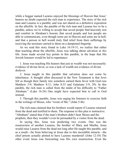while a beggar named Lazarus enjoyed the blessings of Heaven that Jesus' hearers no doubt expected the rich man to experience. The story of the rich man and Lazarus is a parable, and was not shared as a definitive exposition on the afterlife. In fact, the parable of the rich man and Lazarus *has* to be a parable, unless we're willing to accept that saved people find heavenly rest and comfort in Abraham's bosom; that saved people and lost people are able to communicate, even though some are in Heaven and some are in hell; and that a person in hell would truly find relief from their sufferings by receiving the moisture carried to them on a dampened fingertip.

As we read this story found in Luke 16:19-31, we realize that rather than teaching about the afterlife, Jesus was talking about salvation in *this* life. Jesus made several key points in this parable, in the hope that His Jewish listeners would be led to repentance:

1. Jesus was teaching His hearers that just as wealth was not necessarily evidence of divine favor, so was a lack of wealth not evidence of divine disfavor.

2. Jesus taught in this parable that salvation does not come by inheritance. A thought often discussed in the New Testament is that Jews felt as though their family tree somehow earned them favor with God (see Matthew 3:9; Matthew 8:11; John 8:33 and Galatians 3:9, 29). In this parable, the rich man is called from the midst of his difficulty to "Father Abraham." (Luke 16:24) One might have expected him to call to God instead.

3. Through this parable, Jesus was urging his listeners to exercise faith in the writings of Moses, who "wrote of Me." (John 5:46)

The rich man claimed that his brothers would repent if Lazarus returned from the dead and testified to them. The response to this plea is instructive. "Abraham" stated that if the man's brothers didn't hear Moses and the prophets, then they wouldn't even be persuaded by a visitor from the dead.

In saying this, Jesus was predicting two events. One was the resurrection of another Lazarus, the brother of Mary and Martha. Jesus would raise Lazarus from the dead not long after He taught this parable, and as a result—far from believing in Jesus due to this incredible miracle—the chief priests actually plotted to have Lazarus murdered! (John 12:10) The other event Jesus was forecasting was His own resurrection. Even the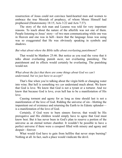resurrection of Jesus could not convince hard-hearted men and women to embrace the true Messiah of prophecy, of whom Moses Himself had prophesied (Deuteronomy 18:15; Acts 3:22 and Acts 7:37).

The story of the rich man and Lazarus was told for very important reasons. To teach about the nature of the afterlife was not one of them. People listening to Jesus' story—of two men communicating while one was in Heaven and one was in hell—knew that the language Jesus was using was so exaggerated that He was obviously speaking in symbols and shadows.

#### *But what about where the Bible talks about everlasting punishment?*

That would be Matthew 25:46. But notice as you read the verse that it talks about everlasting punish *ment*, not everlasting punish*ing*. The punishment and its effects would certainly be everlasting. The punishing would not.

#### *What about the fact that there are some things about God we can't understand, but we just have to accept?*

That's fine when you're talking about the virgin birth or changing water into wine. But hell is something we *can* understand much about. We know that God is love. We know that God is not a tyrant or a torturer. And we know that because God is love, even hell has to be a manifestation of His love.

Causing torment and agony for as long as time should last is not a manifestation of the love of God. Ridding the universe of sin—blotting the impenitent out of existence and returning the Earth to its Edenic splendor is a manifestation of the love of God.

Certainly, if God were to burn sinners forever, that would be His prerogative and His children would simply have to agree that God must know best. But it has never been in God's plan to reserve a portion of the universe as an eternal torture chamber. It wouldn't be possible to have a perfect universe if there were a cesspool filled with misery and agony and despair—forever.

What would God have to gain from hellfire that never stops burning? Nothing at all. In fact, such a place would vindicate the devil.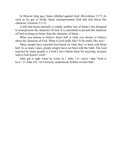In Heaven long ago, Satan rebelled against God. (Revelation 12:7) As soon as he got to Earth, Satan misrepresented God and lied about His character. (Genesis 3:1-5)

A hell that burns eternally is simply another one of Satan's lies designed to misrepresent the character of God. It is calculated to present the character of God as being no better than the character of Satan.

What you choose to believe about hell is what you choose to believe about the character of God. What is God really like? Is He really like *that?*

Many people have rejected God based on what they've been told about hell. In so many cases, people simply have not been told the truth. The God rejected by many people is a God I can't blame them for rejecting, because such a God doesn't exist!

John got it right when he wrote in 1 John 1:4—twice—that "God is love." (1 John 4:8, 16) Correctly understood, hellfire reveals that!